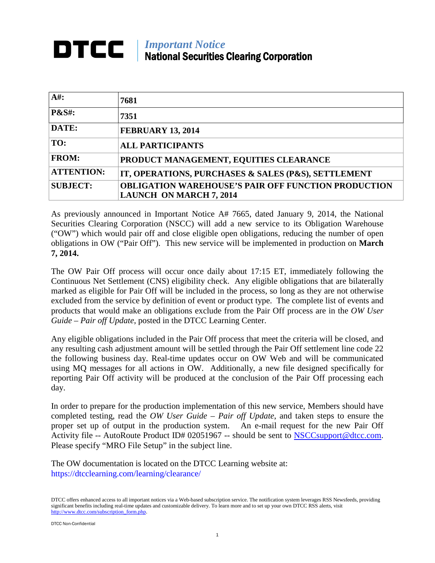## *Important Notice* National Securities Clearing Corporation

| $A#$ :            | 7681                                                                                         |
|-------------------|----------------------------------------------------------------------------------------------|
| <b>P&amp;S#:</b>  | 7351                                                                                         |
| DATE:             | <b>FEBRUARY 13, 2014</b>                                                                     |
| TO:               | <b>ALL PARTICIPANTS</b>                                                                      |
| <b>FROM:</b>      | PRODUCT MANAGEMENT, EQUITIES CLEARANCE                                                       |
| <b>ATTENTION:</b> | IT, OPERATIONS, PURCHASES & SALES (P&S), SETTLEMENT                                          |
| <b>SUBJECT:</b>   | <b>OBLIGATION WAREHOUSE'S PAIR OFF FUNCTION PRODUCTION</b><br><b>LAUNCH ON MARCH 7, 2014</b> |

As previously announced in Important Notice A# 7665, dated January 9, 2014, the National Securities Clearing Corporation (NSCC) will add a new service to its Obligation Warehouse ("OW") which would pair off and close eligible open obligations, reducing the number of open obligations in OW ("Pair Off"). This new service will be implemented in production on **March 7, 2014.**

The OW Pair Off process will occur once daily about 17:15 ET, immediately following the Continuous Net Settlement (CNS) eligibility check. Any eligible obligations that are bilaterally marked as eligible for Pair Off will be included in the process, so long as they are not otherwise excluded from the service by definition of event or product type. The complete list of events and products that would make an obligations exclude from the Pair Off process are in the *OW User Guide – Pair off Update*, posted in the DTCC Learning Center.

Any eligible obligations included in the Pair Off process that meet the criteria will be closed, and any resulting cash adjustment amount will be settled through the Pair Off settlement line code 22 the following business day. Real-time updates occur on OW Web and will be communicated using MQ messages for all actions in OW. Additionally, a new file designed specifically for reporting Pair Off activity will be produced at the conclusion of the Pair Off processing each day.

In order to prepare for the production implementation of this new service, Members should have completed testing, read the *OW User Guide – Pair off Update*, and taken steps to ensure the proper set up of output in the production system. An e-mail request for the new Pair Off Activity file -- AutoRoute Product ID# 02051967 -- should be sent to [NSCCsupport@dtcc.com.](mailto:NSCCsupport@dtcc.com) Please specify "MRO File Setup" in the subject line.

The OW documentation is located on the DTCC Learning website at: https://dtcclearning.com/learning/clearance/

DTCC offers enhanced access to all important notices via a Web-based subscription service. The notification system leverages RSS Newsfeeds, providing significant benefits including real-time updates and customizable delivery. To learn more and to set up your own DTCC RSS alerts, visit [http://www.dtcc.com/subscription\\_form.php.](http://www.dtcc.com/subscription_form.php)

DTCC Non-Confidential